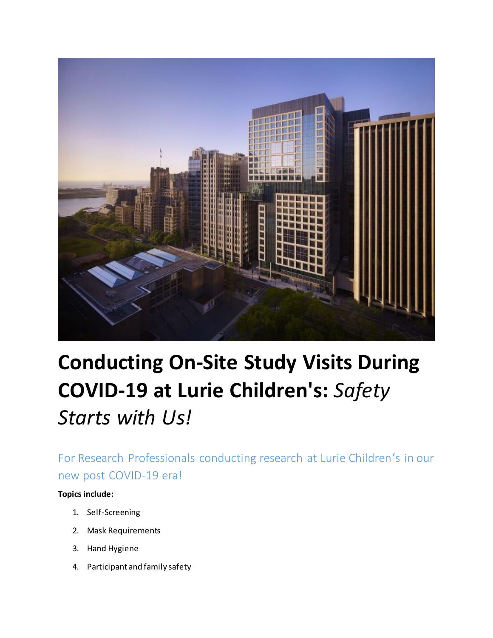

# **Conducting On-Site Study Visits During COVID-19 at Lurie Children's:** *Safety Starts with Us!*

For Research Professionals conducting research at Lurie Children's in our new post COVID-19 era!

#### **Topics include:**

- 1. Self-Screening
- 2. Mask Requirements
- 3. Hand Hygiene
- 4. Participant and family safety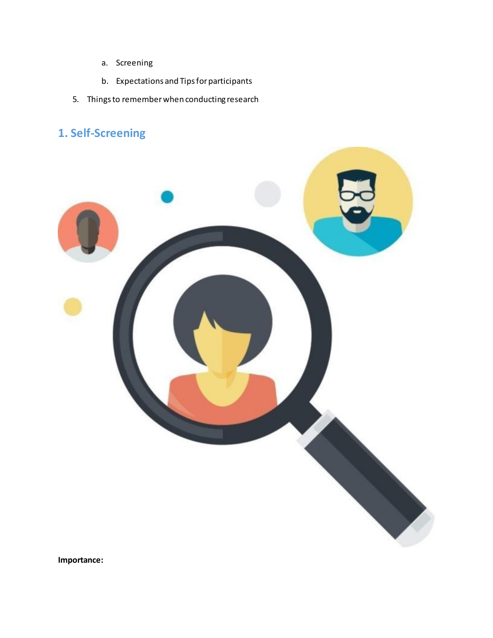- a. Screening
- b. Expectations and Tips for participants
- 5. Things to remember when conducting research

# **1. Self-Screening**



**Importance:**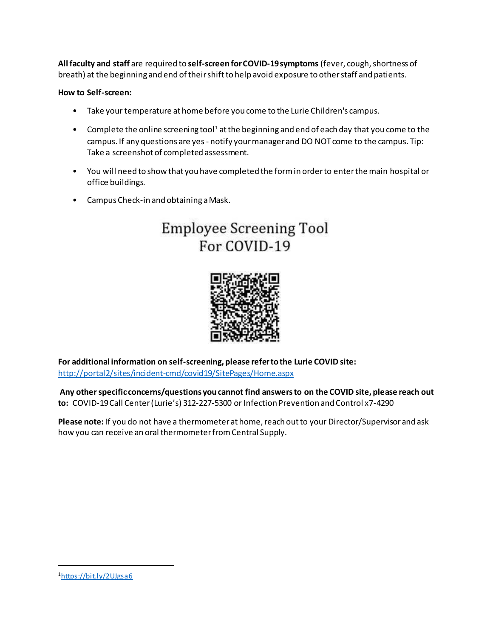**All faculty and staff** are required to **self-screen for COVID-19 symptoms** (fever, cough, shortness of breath) at the beginning and end of their shift to help avoid exposure to other staff and patients.

#### **How to Self-screen:**

- Take your temperature at home before you come to the Lurie Children's campus.
- Complete the online screening tool<sup>1</sup> at the beginning and end of each day that you come to the campus. If any questions are yes - notify your manager and DO NOT come to the campus. Tip: Take a screenshot of completed assessment.
- You will need to show that you have completed the form in order to enter the main hospital or office buildings.
- Campus Check-in and obtaining a Mask.

# **Employee Screening Tool** For COVID-19



**For additional information on self-screening, please refer to the Lurie COVID site:** <http://portal2/sites/incident-cmd/covid19/SitePages/Home.aspx>

**Any other specific concerns/questions you cannot find answers to on the COVID site, please reach out to:** COVID-19 Call Center (Lurie's) 312-227-5300 or Infection Prevention and Control x7-4290

**Please note:** If you do not have a thermometer at home, reach out to your Director/Supervisor and ask how you can receive an oral thermometer from Central Supply.

 $\ddot{\phantom{a}}$ 

<sup>1</sup><https://bit.ly/2UJgsa6>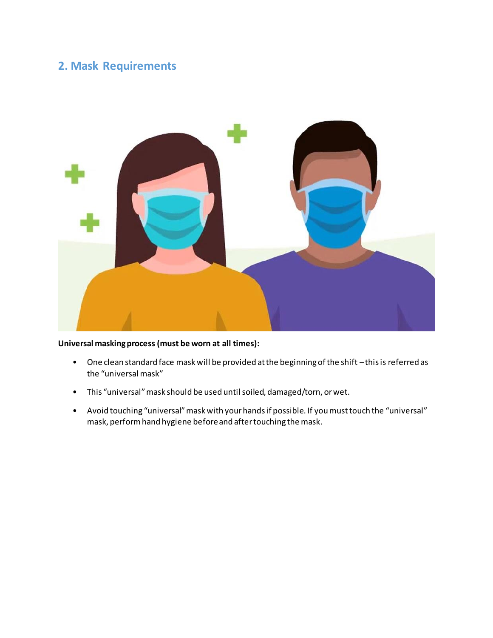### **2. Mask Requirements**



#### **Universal masking process (must be worn at all times):**

- One clean standard face mask will be provided at the beginning of the shift –this is referred as the "universal mask"
- This "universal"mask should be used until soiled, damaged/torn, or wet.
- Avoid touching "universal"mask with your hands if possible. If you must touch the "universal" mask, perform hand hygiene before and after touching the mask.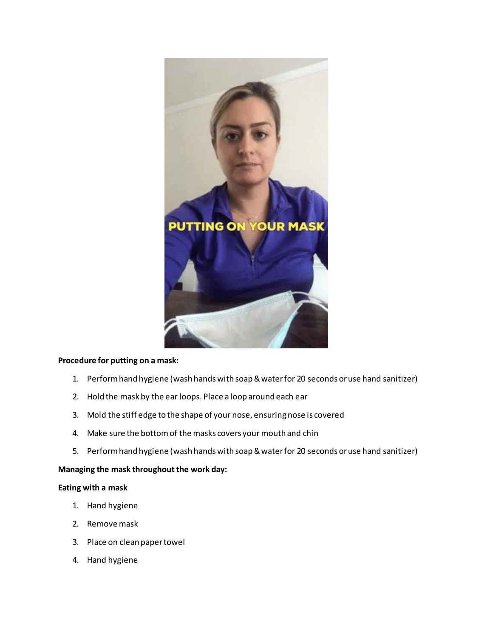

#### **Procedure for putting on a mask:**

- 1. Perform hand hygiene (wash hands with soap & water for 20 seconds or use hand sanitizer)
- 2. Hold the mask by the ear loops. Place a loop around each ear
- 3. Mold the stiff edge to the shape of your nose, ensuring nose is covered
- 4. Make sure the bottom of the masks covers your mouth and chin
- 5. Perform hand hygiene (wash hands with soap & water for 20 seconds or use hand sanitizer)

#### **Managing the mask throughout the work day:**

#### **Eating with a mask**

- 1. Hand hygiene
- 2. Remove mask
- 3. Place on clean paper towel
- 4. Hand hygiene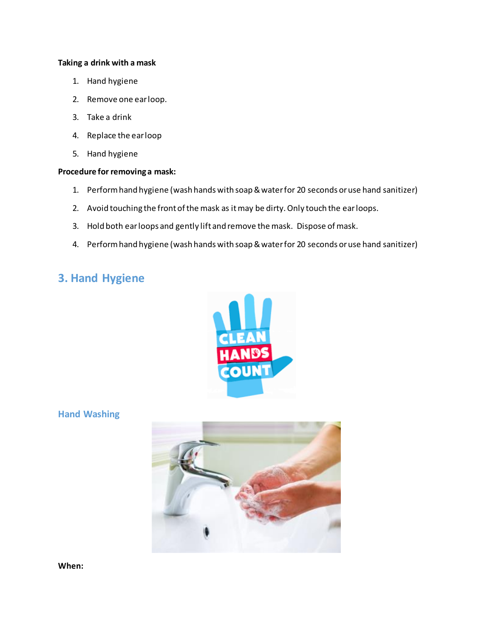#### **Taking a drink with a mask**

- 1. Hand hygiene
- 2. Remove one ear loop.
- 3. Take a drink
- 4. Replace the ear loop
- 5. Hand hygiene

#### **Procedure for removing a mask:**

- 1. Perform hand hygiene (wash hands with soap & water for 20 seconds or use hand sanitizer)
- 2. Avoid touching the front of the mask as it may be dirty. Only touch the ear loops.
- 3. Hold both ear loops and gently lift and remove the mask. Dispose of mask.
- 4. Perform hand hygiene (wash hands with soap & water for 20 seconds or use hand sanitizer)

## **3. Hand Hygiene**



**Hand Washing**



**When:**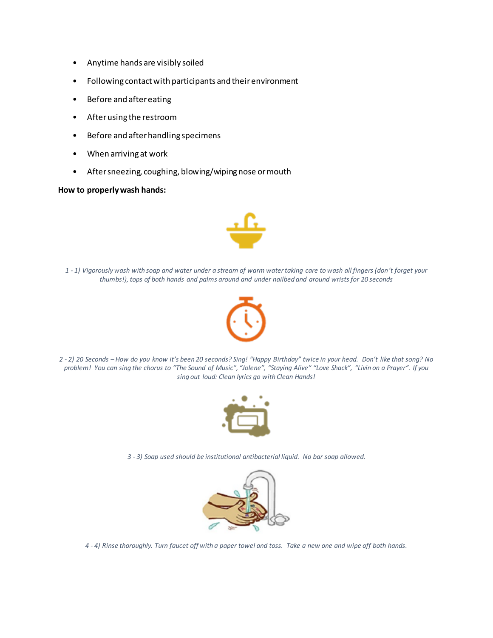- Anytime hands are visibly soiled
- Following contact with participants and their environment
- Before and after eating
- After using the restroom
- Before and after handling specimens
- When arriving at work
- After sneezing, coughing, blowing/wiping nose or mouth

#### **How to properly wash hands:**



*1 - 1) Vigorously wash with soap and water under a stream of warm water taking care to wash all fingers (don't forget your thumbs!), tops of both hands and palms around and under nailbed and around wrists for 20 seconds*



*2 - 2) 20 Seconds – How do you know it's been 20 seconds? Sing! "Happy Birthday" twice in your head. Don't like that song? No*  problem! You can sing the chorus to "The Sound of Music", "Jolene", "Staying Alive" "Love Shack", "Livin on a Prayer". If you *sing out loud: Clean lyrics go with Clean Hands!*



*3 - 3) Soap used should be institutional antibacterial liquid. No bar soap allowed.*



*4 - 4) Rinse thoroughly. Turn faucet off with a paper towel and toss. Take a new one and wipe off both hands.*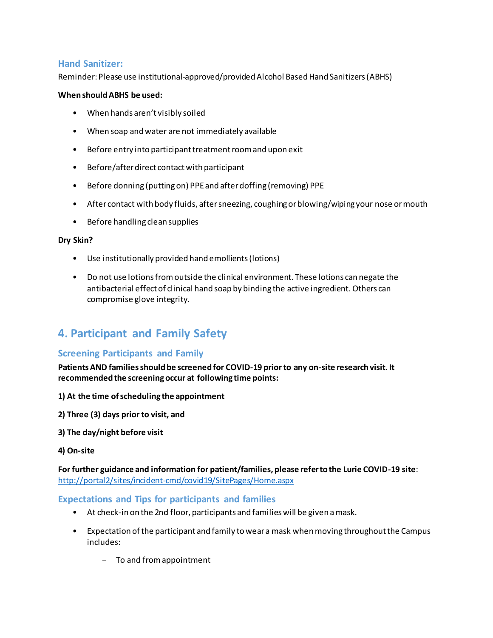#### **Hand Sanitizer:**

Reminder: Please use institutional-approved/provided Alcohol Based Hand Sanitizers (ABHS)

#### **When should ABHS be used:**

- When hands aren't visibly soiled
- When soap and water are not immediately available
- Before entry into participant treatment room and upon exit
- Before/after direct contact with participant
- Before donning (putting on) PPE and after doffing (removing) PPE
- After contact with body fluids, after sneezing, coughing or blowing/wiping your nose or mouth
- Before handling clean supplies

#### **Dry Skin?**

- Use institutionally provided hand emollients (lotions)
- Do not use lotions from outside the clinical environment. These lotions can negate the antibacterial effect of clinical hand soap by binding the active ingredient. Others can compromise glove integrity.

# **4. Participant and Family Safety**

#### **Screening Participants and Family**

**Patients AND families should be screened for COVID-19 prior to any on-site research visit. It recommended the screening occur at following time points:** 

- **1) At the time of scheduling the appointment**
- **2) Three (3) days prior to visit, and**
- **3) The day/night before visit**
- **4) On-site**

**For further guidance and information for patient/families, please refer to the Lurie COVID-19 site**: <http://portal2/sites/incident-cmd/covid19/SitePages/Home.aspx>

#### **Expectations and Tips for participants and families**

- At check-in on the 2nd floor, participants and families will be given a mask.
- Expectation of the participant and family to wear a mask when moving throughout the Campus includes:
	- To and from appointment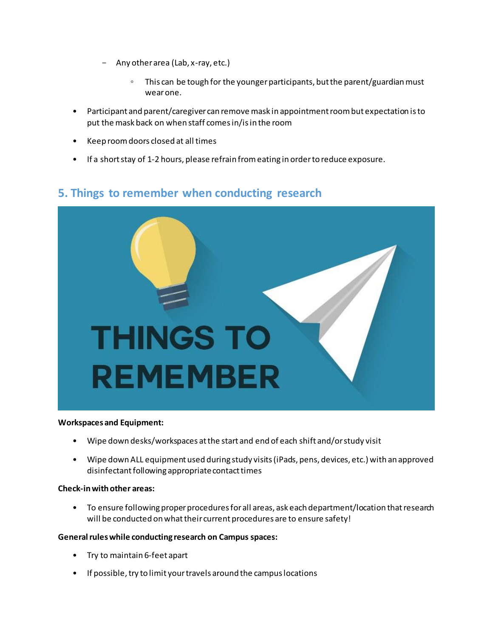- Any other area (Lab, x-ray, etc.)
	- This can be tough for the younger participants, but the parent/guardian must wear one.
- Participant and parent/caregiver can remove mask in appointment room but expectation is to put the mask back on when staff comes in/is in the room
- Keep room doors closed at all times
- If a short stay of 1-2 hours, please refrain from eating in order to reduce exposure.

## **5. Things to remember when conducting research**



#### **Workspaces and Equipment:**

- Wipe down desks/workspaces at the start and end of each shift and/or study visit
- Wipe down ALL equipment used during study visits (iPads, pens, devices, etc.) with an approved disinfectant following appropriate contact times

#### **Check-in with other areas:**

• To ensure following proper procedures for all areas, ask each department/location that research will be conducted on what their current procedures are to ensure safety!

#### **General rules while conducting research on Campus spaces:**

- Try to maintain 6-feet apart
- If possible, try to limit your travels around the campus locations